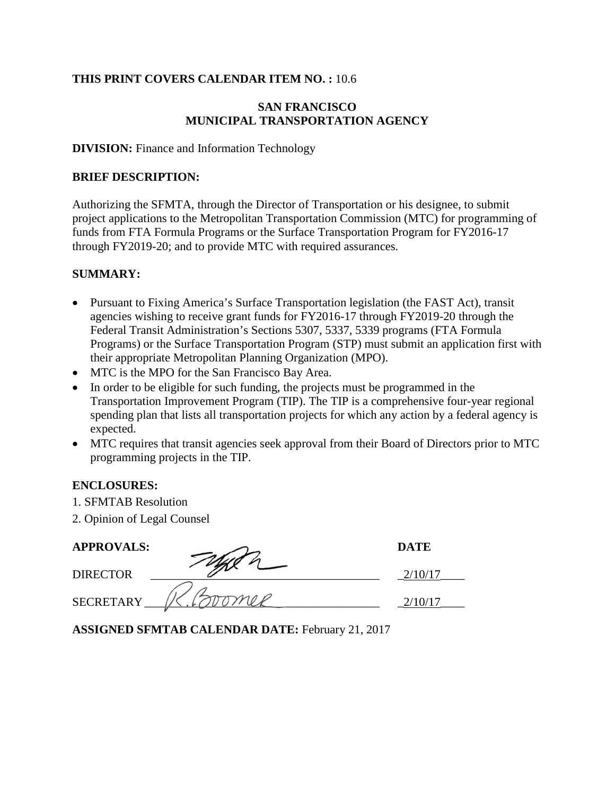### **THIS PRINT COVERS CALENDAR ITEM NO. :** 10.6

### **SAN FRANCISCO MUNICIPAL TRANSPORTATION AGENCY**

#### **DIVISION:** Finance and Information Technology

#### **BRIEF DESCRIPTION:**

Authorizing the SFMTA, through the Director of Transportation or his designee, to submit project applications to the Metropolitan Transportation Commission (MTC) for programming of funds from FTA Formula Programs or the Surface Transportation Program for FY2016-17 through FY2019-20; and to provide MTC with required assurances.

#### **SUMMARY:**

- Pursuant to Fixing America's Surface Transportation legislation (the FAST Act), transit agencies wishing to receive grant funds for FY2016-17 through FY2019-20 through the Federal Transit Administration's Sections 5307, 5337, 5339 programs (FTA Formula Programs) or the Surface Transportation Program (STP) must submit an application first with their appropriate Metropolitan Planning Organization (MPO).
- MTC is the MPO for the San Francisco Bay Area.
- In order to be eligible for such funding, the projects must be programmed in the Transportation Improvement Program (TIP). The TIP is a comprehensive four-year regional spending plan that lists all transportation projects for which any action by a federal agency is expected.
- MTC requires that transit agencies seek approval from their Board of Directors prior to MTC programming projects in the TIP.

### **ENCLOSURES:**

- 1. SFMTAB Resolution
- 2. Opinion of Legal Counsel

| <b>APPROVALS:</b> | <b>DATE</b> |
|-------------------|-------------|
| <b>DIRECTOR</b>   |             |
| <b>SECRETARY</b>  |             |

**ASSIGNED SFMTAB CALENDAR DATE:** February 21, 2017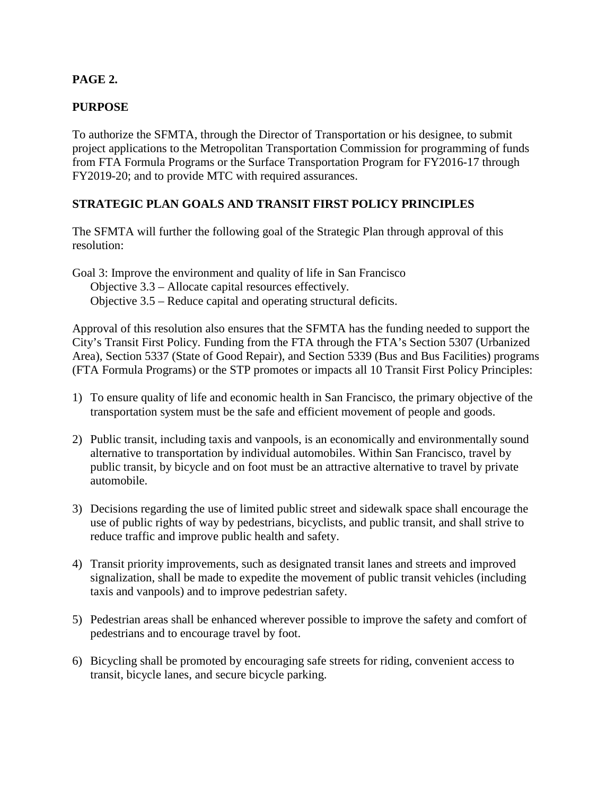# **PAGE 2.**

## **PURPOSE**

To authorize the SFMTA, through the Director of Transportation or his designee, to submit project applications to the Metropolitan Transportation Commission for programming of funds from FTA Formula Programs or the Surface Transportation Program for FY2016-17 through FY2019-20; and to provide MTC with required assurances.

## **STRATEGIC PLAN GOALS AND TRANSIT FIRST POLICY PRINCIPLES**

The SFMTA will further the following goal of the Strategic Plan through approval of this resolution:

Goal 3: Improve the environment and quality of life in San Francisco Objective 3.3 – Allocate capital resources effectively. Objective 3.5 – Reduce capital and operating structural deficits.

Approval of this resolution also ensures that the SFMTA has the funding needed to support the City's Transit First Policy. Funding from the FTA through the FTA's Section 5307 (Urbanized Area), Section 5337 (State of Good Repair), and Section 5339 (Bus and Bus Facilities) programs (FTA Formula Programs) or the STP promotes or impacts all 10 Transit First Policy Principles:

- 1) To ensure quality of life and economic health in San Francisco, the primary objective of the transportation system must be the safe and efficient movement of people and goods.
- 2) Public transit, including taxis and vanpools, is an economically and environmentally sound alternative to transportation by individual automobiles. Within San Francisco, travel by public transit, by bicycle and on foot must be an attractive alternative to travel by private automobile.
- 3) Decisions regarding the use of limited public street and sidewalk space shall encourage the use of public rights of way by pedestrians, bicyclists, and public transit, and shall strive to reduce traffic and improve public health and safety.
- 4) Transit priority improvements, such as designated transit lanes and streets and improved signalization, shall be made to expedite the movement of public transit vehicles (including taxis and vanpools) and to improve pedestrian safety.
- 5) Pedestrian areas shall be enhanced wherever possible to improve the safety and comfort of pedestrians and to encourage travel by foot.
- 6) Bicycling shall be promoted by encouraging safe streets for riding, convenient access to transit, bicycle lanes, and secure bicycle parking.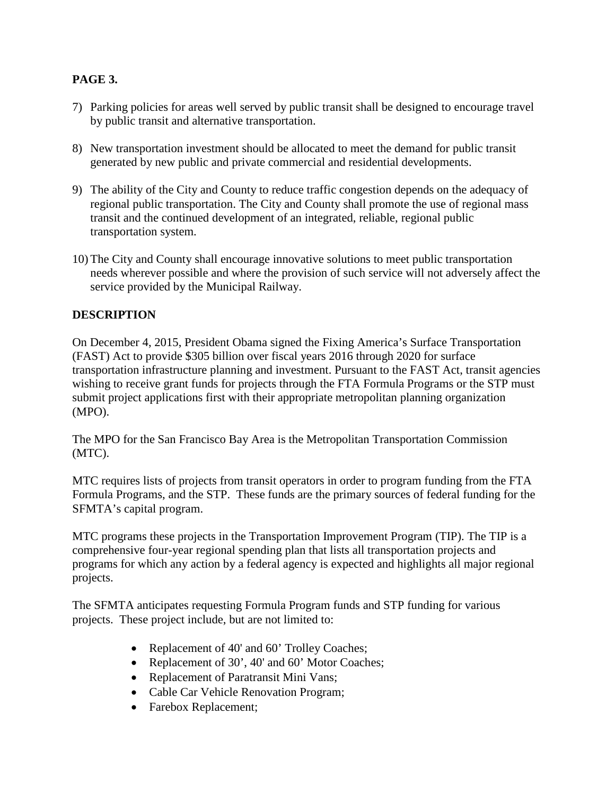# **PAGE 3.**

- 7) Parking policies for areas well served by public transit shall be designed to encourage travel by public transit and alternative transportation.
- 8) New transportation investment should be allocated to meet the demand for public transit generated by new public and private commercial and residential developments.
- 9) The ability of the City and County to reduce traffic congestion depends on the adequacy of regional public transportation. The City and County shall promote the use of regional mass transit and the continued development of an integrated, reliable, regional public transportation system.
- 10) The City and County shall encourage innovative solutions to meet public transportation needs wherever possible and where the provision of such service will not adversely affect the service provided by the Municipal Railway.

# **DESCRIPTION**

On December 4, 2015, President Obama signed the Fixing America's Surface Transportation (FAST) Act to provide \$305 billion over fiscal years 2016 through 2020 for surface transportation infrastructure planning and investment. Pursuant to the FAST Act, transit agencies wishing to receive grant funds for projects through the FTA Formula Programs or the STP must submit project applications first with their appropriate metropolitan planning organization (MPO).

The MPO for the San Francisco Bay Area is the Metropolitan Transportation Commission (MTC).

MTC requires lists of projects from transit operators in order to program funding from the FTA Formula Programs, and the STP. These funds are the primary sources of federal funding for the SFMTA's capital program.

MTC programs these projects in the Transportation Improvement Program (TIP). The TIP is a comprehensive four-year regional spending plan that lists all transportation projects and programs for which any action by a federal agency is expected and highlights all major regional projects.

The SFMTA anticipates requesting Formula Program funds and STP funding for various projects. These project include, but are not limited to:

- Replacement of 40' and 60' Trolley Coaches;
- Replacement of 30', 40' and 60' Motor Coaches;
- Replacement of Paratransit Mini Vans;
- Cable Car Vehicle Renovation Program;
- Farebox Replacement;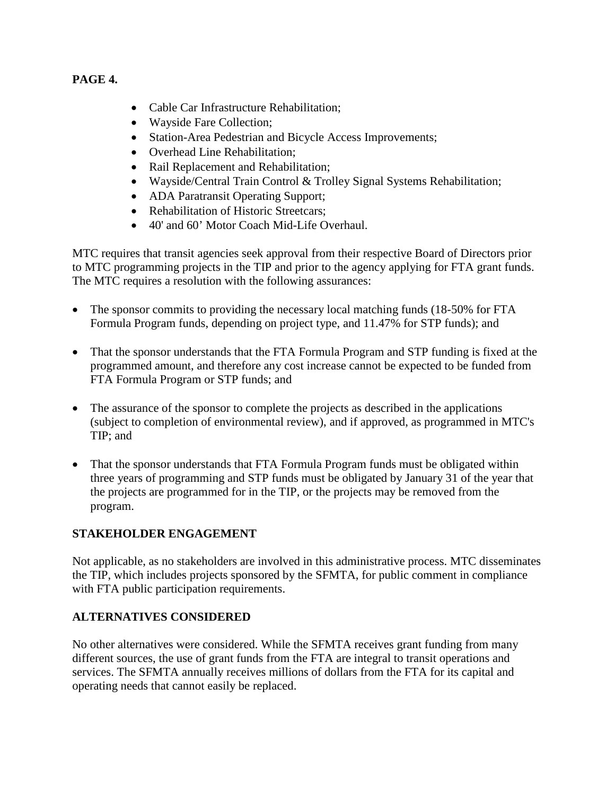## **PAGE 4.**

- Cable Car Infrastructure Rehabilitation;
- Wayside Fare Collection;
- Station-Area Pedestrian and Bicycle Access Improvements;
- Overhead Line Rehabilitation:
- Rail Replacement and Rehabilitation;
- Wayside/Central Train Control & Trolley Signal Systems Rehabilitation;
- ADA Paratransit Operating Support;
- Rehabilitation of Historic Streetcars;
- 40' and 60' Motor Coach Mid-Life Overhaul.

MTC requires that transit agencies seek approval from their respective Board of Directors prior to MTC programming projects in the TIP and prior to the agency applying for FTA grant funds. The MTC requires a resolution with the following assurances:

- The sponsor commits to providing the necessary local matching funds (18-50% for FTA Formula Program funds, depending on project type, and 11.47% for STP funds); and
- That the sponsor understands that the FTA Formula Program and STP funding is fixed at the programmed amount, and therefore any cost increase cannot be expected to be funded from FTA Formula Program or STP funds; and
- The assurance of the sponsor to complete the projects as described in the applications (subject to completion of environmental review), and if approved, as programmed in MTC's TIP; and
- That the sponsor understands that FTA Formula Program funds must be obligated within three years of programming and STP funds must be obligated by January 31 of the year that the projects are programmed for in the TIP, or the projects may be removed from the program.

# **STAKEHOLDER ENGAGEMENT**

Not applicable, as no stakeholders are involved in this administrative process. MTC disseminates the TIP, which includes projects sponsored by the SFMTA, for public comment in compliance with FTA public participation requirements.

## **ALTERNATIVES CONSIDERED**

No other alternatives were considered. While the SFMTA receives grant funding from many different sources, the use of grant funds from the FTA are integral to transit operations and services. The SFMTA annually receives millions of dollars from the FTA for its capital and operating needs that cannot easily be replaced.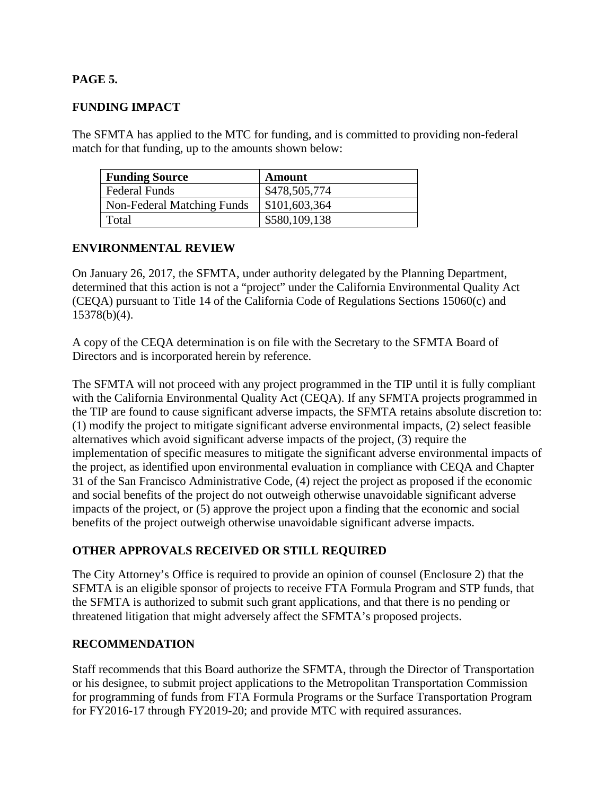## **PAGE 5.**

## **FUNDING IMPACT**

The SFMTA has applied to the MTC for funding, and is committed to providing non-federal match for that funding, up to the amounts shown below:

| <b>Funding Source</b>      | <b>Amount</b> |
|----------------------------|---------------|
| <b>Federal Funds</b>       | \$478,505,774 |
| Non-Federal Matching Funds | \$101,603,364 |
| Total                      | \$580,109,138 |

### **ENVIRONMENTAL REVIEW**

On January 26, 2017, the SFMTA, under authority delegated by the Planning Department, determined that this action is not a "project" under the California Environmental Quality Act (CEQA) pursuant to Title 14 of the California Code of Regulations Sections 15060(c) and 15378(b)(4).

A copy of the CEQA determination is on file with the Secretary to the SFMTA Board of Directors and is incorporated herein by reference.

The SFMTA will not proceed with any project programmed in the TIP until it is fully compliant with the California Environmental Quality Act (CEQA). If any SFMTA projects programmed in the TIP are found to cause significant adverse impacts, the SFMTA retains absolute discretion to: (1) modify the project to mitigate significant adverse environmental impacts, (2) select feasible alternatives which avoid significant adverse impacts of the project, (3) require the implementation of specific measures to mitigate the significant adverse environmental impacts of the project, as identified upon environmental evaluation in compliance with CEQA and Chapter 31 of the San Francisco Administrative Code, (4) reject the project as proposed if the economic and social benefits of the project do not outweigh otherwise unavoidable significant adverse impacts of the project, or (5) approve the project upon a finding that the economic and social benefits of the project outweigh otherwise unavoidable significant adverse impacts.

## **OTHER APPROVALS RECEIVED OR STILL REQUIRED**

The City Attorney's Office is required to provide an opinion of counsel (Enclosure 2) that the SFMTA is an eligible sponsor of projects to receive FTA Formula Program and STP funds, that the SFMTA is authorized to submit such grant applications, and that there is no pending or threatened litigation that might adversely affect the SFMTA's proposed projects.

#### **RECOMMENDATION**

Staff recommends that this Board authorize the SFMTA, through the Director of Transportation or his designee, to submit project applications to the Metropolitan Transportation Commission for programming of funds from FTA Formula Programs or the Surface Transportation Program for FY2016-17 through FY2019-20; and provide MTC with required assurances.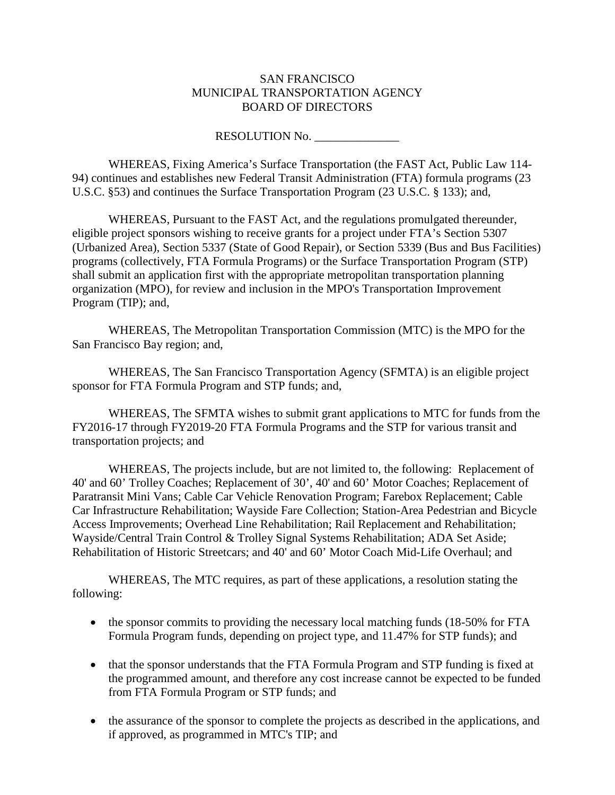#### SAN FRANCISCO MUNICIPAL TRANSPORTATION AGENCY BOARD OF DIRECTORS

### RESOLUTION No.

WHEREAS, Fixing America's Surface Transportation (the FAST Act, Public Law 114- 94) continues and establishes new Federal Transit Administration (FTA) formula programs (23 U.S.C. §53) and continues the Surface Transportation Program (23 U.S.C. § 133); and,

WHEREAS, Pursuant to the FAST Act, and the regulations promulgated thereunder, eligible project sponsors wishing to receive grants for a project under FTA's Section 5307 (Urbanized Area), Section 5337 (State of Good Repair), or Section 5339 (Bus and Bus Facilities) programs (collectively, FTA Formula Programs) or the Surface Transportation Program (STP) shall submit an application first with the appropriate metropolitan transportation planning organization (MPO), for review and inclusion in the MPO's Transportation Improvement Program (TIP); and,

WHEREAS, The Metropolitan Transportation Commission (MTC) is the MPO for the San Francisco Bay region; and,

WHEREAS, The San Francisco Transportation Agency (SFMTA) is an eligible project sponsor for FTA Formula Program and STP funds; and,

WHEREAS, The SFMTA wishes to submit grant applications to MTC for funds from the FY2016-17 through FY2019-20 FTA Formula Programs and the STP for various transit and transportation projects; and

WHEREAS, The projects include, but are not limited to, the following: Replacement of 40' and 60' Trolley Coaches; Replacement of 30', 40' and 60' Motor Coaches; Replacement of Paratransit Mini Vans; Cable Car Vehicle Renovation Program; Farebox Replacement; Cable Car Infrastructure Rehabilitation; Wayside Fare Collection; Station-Area Pedestrian and Bicycle Access Improvements; Overhead Line Rehabilitation; Rail Replacement and Rehabilitation; Wayside/Central Train Control & Trolley Signal Systems Rehabilitation; ADA Set Aside; Rehabilitation of Historic Streetcars; and 40' and 60' Motor Coach Mid-Life Overhaul; and

WHEREAS, The MTC requires, as part of these applications, a resolution stating the following:

- the sponsor commits to providing the necessary local matching funds (18-50% for FTA Formula Program funds, depending on project type, and 11.47% for STP funds); and
- that the sponsor understands that the FTA Formula Program and STP funding is fixed at the programmed amount, and therefore any cost increase cannot be expected to be funded from FTA Formula Program or STP funds; and
- the assurance of the sponsor to complete the projects as described in the applications, and if approved, as programmed in MTC's TIP; and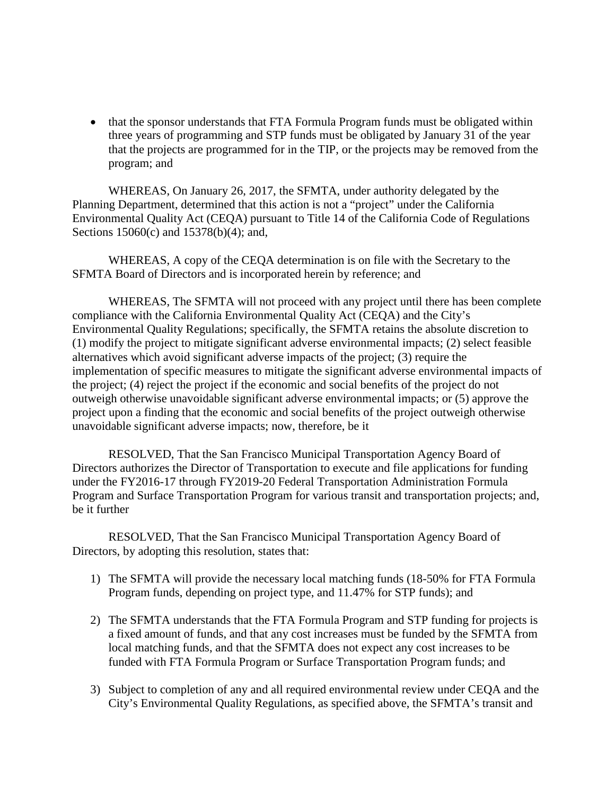• that the sponsor understands that FTA Formula Program funds must be obligated within three years of programming and STP funds must be obligated by January 31 of the year that the projects are programmed for in the TIP, or the projects may be removed from the program; and

WHEREAS, On January 26, 2017, the SFMTA, under authority delegated by the Planning Department, determined that this action is not a "project" under the California Environmental Quality Act (CEQA) pursuant to Title 14 of the California Code of Regulations Sections 15060(c) and 15378(b)(4); and,

WHEREAS, A copy of the CEQA determination is on file with the Secretary to the SFMTA Board of Directors and is incorporated herein by reference; and

WHEREAS, The SFMTA will not proceed with any project until there has been complete compliance with the California Environmental Quality Act (CEQA) and the City's Environmental Quality Regulations; specifically, the SFMTA retains the absolute discretion to (1) modify the project to mitigate significant adverse environmental impacts; (2) select feasible alternatives which avoid significant adverse impacts of the project; (3) require the implementation of specific measures to mitigate the significant adverse environmental impacts of the project; (4) reject the project if the economic and social benefits of the project do not outweigh otherwise unavoidable significant adverse environmental impacts; or (5) approve the project upon a finding that the economic and social benefits of the project outweigh otherwise unavoidable significant adverse impacts; now, therefore, be it

RESOLVED, That the San Francisco Municipal Transportation Agency Board of Directors authorizes the Director of Transportation to execute and file applications for funding under the FY2016-17 through FY2019-20 Federal Transportation Administration Formula Program and Surface Transportation Program for various transit and transportation projects; and, be it further

RESOLVED, That the San Francisco Municipal Transportation Agency Board of Directors, by adopting this resolution, states that:

- 1) The SFMTA will provide the necessary local matching funds (18-50% for FTA Formula Program funds, depending on project type, and 11.47% for STP funds); and
- 2) The SFMTA understands that the FTA Formula Program and STP funding for projects is a fixed amount of funds, and that any cost increases must be funded by the SFMTA from local matching funds, and that the SFMTA does not expect any cost increases to be funded with FTA Formula Program or Surface Transportation Program funds; and
- 3) Subject to completion of any and all required environmental review under CEQA and the City's Environmental Quality Regulations, as specified above, the SFMTA's transit and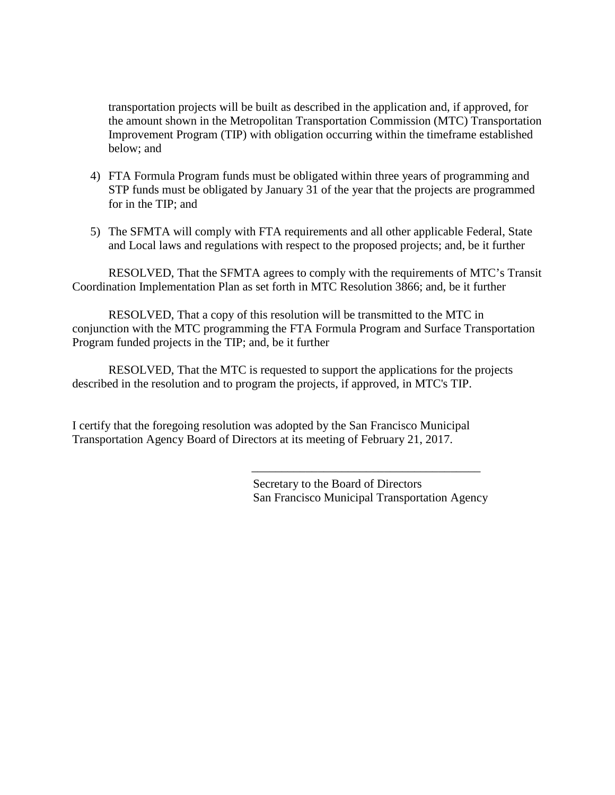transportation projects will be built as described in the application and, if approved, for the amount shown in the Metropolitan Transportation Commission (MTC) Transportation Improvement Program (TIP) with obligation occurring within the timeframe established below; and

- 4) FTA Formula Program funds must be obligated within three years of programming and STP funds must be obligated by January 31 of the year that the projects are programmed for in the TIP; and
- 5) The SFMTA will comply with FTA requirements and all other applicable Federal, State and Local laws and regulations with respect to the proposed projects; and, be it further

RESOLVED, That the SFMTA agrees to comply with the requirements of MTC's Transit Coordination Implementation Plan as set forth in MTC Resolution 3866; and, be it further

RESOLVED, That a copy of this resolution will be transmitted to the MTC in conjunction with the MTC programming the FTA Formula Program and Surface Transportation Program funded projects in the TIP; and, be it further

RESOLVED, That the MTC is requested to support the applications for the projects described in the resolution and to program the projects, if approved, in MTC's TIP.

I certify that the foregoing resolution was adopted by the San Francisco Municipal Transportation Agency Board of Directors at its meeting of February 21, 2017.

> Secretary to the Board of Directors San Francisco Municipal Transportation Agency

\_\_\_\_\_\_\_\_\_\_\_\_\_\_\_\_\_\_\_\_\_\_\_\_\_\_\_\_\_\_\_\_\_\_\_\_\_\_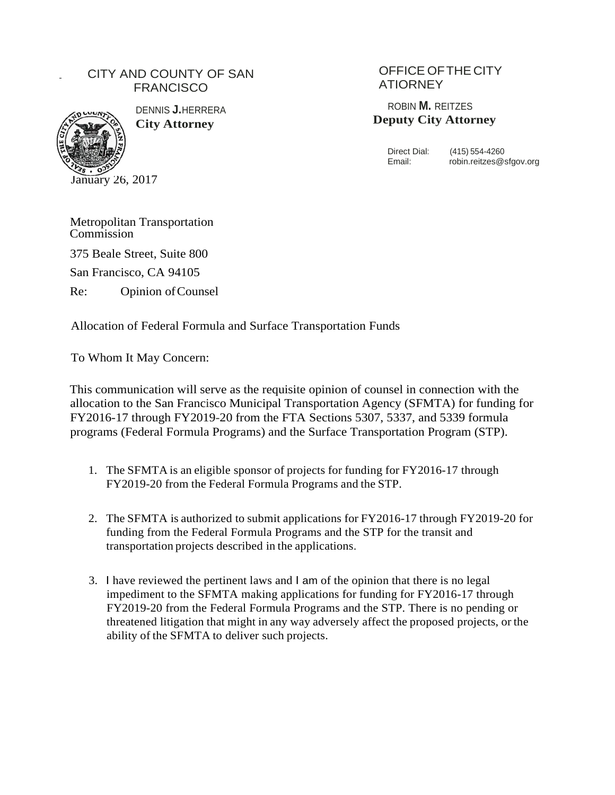# CITY AND COUNTY OF SAN **FRANCISCO**



DENNIS **J.**HERRERA **City Attorney**

# OFFICE OFTHE CITY ATIORNEY

ROBIN **M.** REITZES **Deputy City Attorney**

Direct Dial: (415) 554-4260<br>Email: robin.reitzes@s robin.reitzes@sfgov.org

Metropolitan Transportation Commission 375 Beale Street, Suite 800 San Francisco, CA 94105 Re: Opinion ofCounsel

Allocation of Federal Formula and Surface Transportation Funds

To Whom It May Concern:

This communication will serve as the requisite opinion of counsel in connection with the allocation to the San Francisco Municipal Transportation Agency (SFMTA) for funding for FY2016-17 through FY2019-20 from the FTA Sections 5307, 5337, and 5339 formula programs (Federal Formula Programs) and the Surface Transportation Program (STP).

- 1. The SFMTA is an eligible sponsor of projects for funding for FY2016-17 through FY2019-20 from the Federal Formula Programs and the STP.
- 2. The SFMTA is authorized to submit applications for FY2016-17 through FY2019-20 for funding from the Federal Formula Programs and the STP for the transit and transportation projects described in the applications.
- 3. I have reviewed the pertinent laws and I am of the opinion that there is no legal impediment to the SFMTA making applications for funding for FY2016-17 through FY2019-20 from the Federal Formula Programs and the STP. There is no pending or threatened litigation that might in any way adversely affect the proposed projects, or the ability of the SFMTA to deliver such projects.